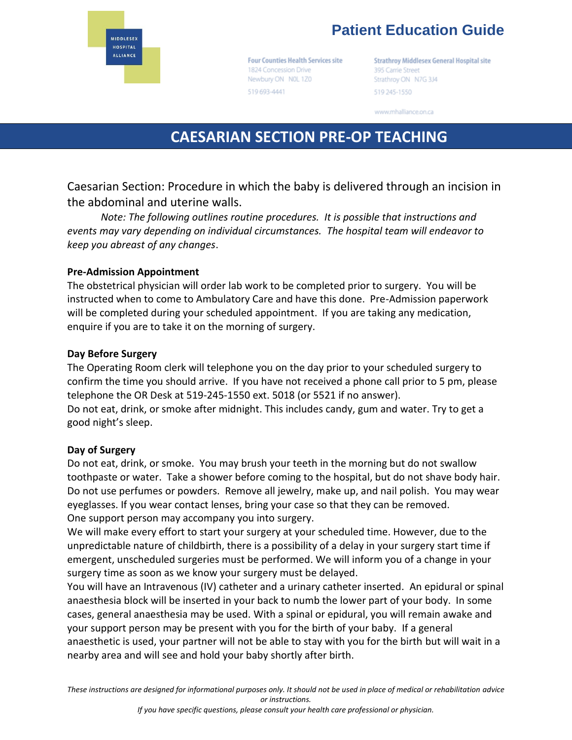

# **Patient Education Guide**

**Four Counties Health Services site** 1824 Concession Drive Newbury ON N0L 1Z0 519 693-4441

**Strathroy Middlesex General Hospital site** 395 Carrie Street Strathroy ON N7G 3J4 519 245-1550

www.mhalliance.on.ca

## **CAESARIAN SECTION PRE-OP TEACHING**

Caesarian Section: Procedure in which the baby is delivered through an incision in the abdominal and uterine walls.

*Note: The following outlines routine procedures. It is possible that instructions and events may vary depending on individual circumstances. The hospital team will endeavor to keep you abreast of any changes*.

#### **Pre-Admission Appointment**

The obstetrical physician will order lab work to be completed prior to surgery. You will be instructed when to come to Ambulatory Care and have this done. Pre-Admission paperwork will be completed during your scheduled appointment. If you are taking any medication, enquire if you are to take it on the morning of surgery.

#### **Day Before Surgery**

The Operating Room clerk will telephone you on the day prior to your scheduled surgery to confirm the time you should arrive. If you have not received a phone call prior to 5 pm, please telephone the OR Desk at 519-245-1550 ext. 5018 (or 5521 if no answer). Do not eat, drink, or smoke after midnight. This includes candy, gum and water. Try to get a good night's sleep.

#### **Day of Surgery**

Do not eat, drink, or smoke. You may brush your teeth in the morning but do not swallow toothpaste or water. Take a shower before coming to the hospital, but do not shave body hair. Do not use perfumes or powders. Remove all jewelry, make up, and nail polish. You may wear eyeglasses. If you wear contact lenses, bring your case so that they can be removed. One support person may accompany you into surgery.

We will make every effort to start your surgery at your scheduled time. However, due to the unpredictable nature of childbirth, there is a possibility of a delay in your surgery start time if emergent, unscheduled surgeries must be performed. We will inform you of a change in your surgery time as soon as we know your surgery must be delayed.

You will have an Intravenous (IV) catheter and a urinary catheter inserted. An epidural or spinal anaesthesia block will be inserted in your back to numb the lower part of your body. In some cases, general anaesthesia may be used. With a spinal or epidural, you will remain awake and your support person may be present with you for the birth of your baby. If a general anaesthetic is used, your partner will not be able to stay with you for the birth but will wait in a nearby area and will see and hold your baby shortly after birth.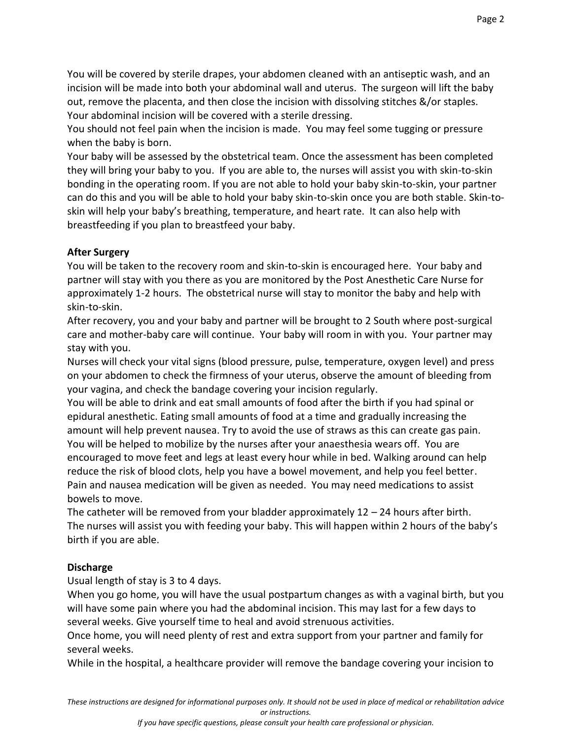You will be covered by sterile drapes, your abdomen cleaned with an antiseptic wash, and an incision will be made into both your abdominal wall and uterus. The surgeon will lift the baby out, remove the placenta, and then close the incision with dissolving stitches &/or staples. Your abdominal incision will be covered with a sterile dressing.

You should not feel pain when the incision is made. You may feel some tugging or pressure when the baby is born.

Your baby will be assessed by the obstetrical team. Once the assessment has been completed they will bring your baby to you. If you are able to, the nurses will assist you with skin-to-skin bonding in the operating room. If you are not able to hold your baby skin-to-skin, your partner can do this and you will be able to hold your baby skin-to-skin once you are both stable. Skin-toskin will help your baby's breathing, temperature, and heart rate. It can also help with breastfeeding if you plan to breastfeed your baby.

#### **After Surgery**

You will be taken to the recovery room and skin-to-skin is encouraged here. Your baby and partner will stay with you there as you are monitored by the Post Anesthetic Care Nurse for approximately 1-2 hours. The obstetrical nurse will stay to monitor the baby and help with skin-to-skin.

After recovery, you and your baby and partner will be brought to 2 South where post-surgical care and mother-baby care will continue. Your baby will room in with you. Your partner may stay with you.

Nurses will check your vital signs (blood pressure, pulse, temperature, oxygen level) and press on your abdomen to check the firmness of your uterus, observe the amount of bleeding from your vagina, and check the bandage covering your incision regularly.

You will be able to drink and eat small amounts of food after the birth if you had spinal or epidural anesthetic. Eating small amounts of food at a time and gradually increasing the amount will help prevent nausea. Try to avoid the use of straws as this can create gas pain. You will be helped to mobilize by the nurses after your anaesthesia wears off. You are encouraged to move feet and legs at least every hour while in bed. Walking around can help reduce the risk of blood clots, help you have a bowel movement, and help you feel better. Pain and nausea medication will be given as needed. You may need medications to assist bowels to move.

The catheter will be removed from your bladder approximately  $12 - 24$  hours after birth. The nurses will assist you with feeding your baby. This will happen within 2 hours of the baby's birth if you are able.

### **Discharge**

Usual length of stay is 3 to 4 days.

When you go home, you will have the usual postpartum changes as with a vaginal birth, but you will have some pain where you had the abdominal incision. This may last for a few days to several weeks. Give yourself time to heal and avoid strenuous activities.

Once home, you will need plenty of rest and extra support from your partner and family for several weeks.

While in the hospital, a healthcare provider will remove the bandage covering your incision to